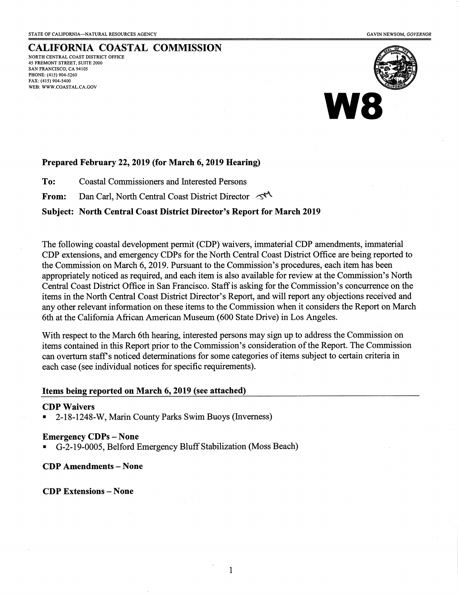CALIFORNIA COASTAL COMMISSION NORTH CENTRAL COAST DISTRICT OFFICE 45 FREMONT STREET, SUITE 2000 SAN FRANCISCO, CA 94105 PHONE: (415) 904-5260 FAX: (415) 904-5400 WEB: WWW.COASTAL.CA.GOV



### Prepared February 22, 2019 (for March 6, 2019 Hearing)

To: Coastal Commissioners and Interested Persons

From: Dan Carl, North Central Coast District Director  $\leq^4$ 

## Subject: North Central Coast District Director's Report for March 2019

The following coastal development permit (CDP) waivers, immaterial CDP amendments, immaterial CDP extensions, and emergency CDPs for the North Central Coast District Office are being reported to the Commission on March 6, 2019. Pursuant to the Commission's procedures, each item has been appropriately noticed as required, and each item is also available for review at the Commission's North Central Coast District Office in San Francisco. Staff is asking for the Commission's concurrence on the items in the North Central Coast District Director's Report, and will report any objections received and any other relevant information on these items to the Commission when it considers the Report on March 6th at the California African American Museum (600 State Drive) in Los Angeles.

With respect to the March 6th hearing, interested persons may sign up to address the Commission on items contained in this Report prior to the Commission's consideration of the Report. The Commission can overturn staff's noticed determinations for some categories of items subject to certain criteria in each case (see individual notices for specific requirements).

### Items being reported on March 6, 2019 (see attached)

### **CDP Waivers**

• 2-18-1248-W, Marin County Parks Swim Buoys (Inverness)

### Emergency CDPs- None

• G-2-19-0005, Belford Emergency Bluff Stabilization (Moss Beach)

### CDP Amendments- None

#### CDP Extensions- None

1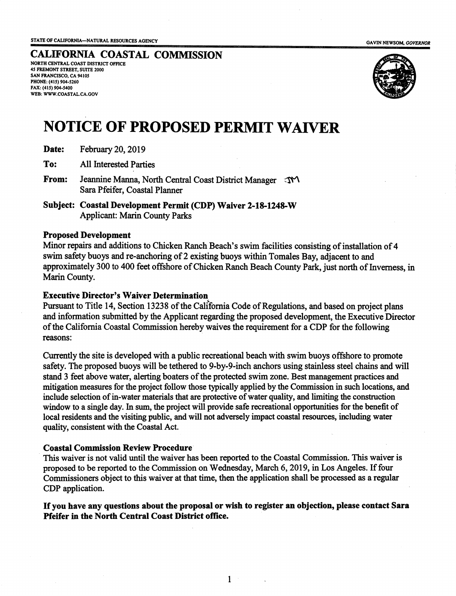#### GAVIN NEWSOM, *GOYERNOR*

## CALIFORNIA COASTAL COMMISSION NORTH CENTRAL COAST DISTRICT OFFICE

*45* FREMONT STREET, SUITE 2000 SAN FRANCISCO, CA *94105*  PHONE: (415) *904-5260*  FAX: (415) *904-5400*  WEB: WWW.COASTAL.CA.GOV



# NOTICE OF PROPOSED PERMIT WAIVER

| Date: | February 20, 2019 |  |  |
|-------|-------------------|--|--|
|-------|-------------------|--|--|

To: All Interested Parties

From: Jeannine Manna, North Central Coast District Manager  $\mathcal{N}$ Sara Pfeifer, Coastal Planner

Subject: Coastal Development Permit (CDP) Waiver 2-18-1248-W Applicant: Marin County Parks

## Proposed Development

Minor repairs and additions to Chicken Ranch Beach's swim facilities consisting of installation of 4 swim safety buoys and re-anchoring of 2 existing buoys within Tomales Bay, adjacent to and approximately 300 to 400 feet offshore of Chicken Ranch Beach County Park, just north of Inverness, in Marin County.

## Executive Director's Waiver Determination

Pursuant to Title 14, Section 13238 of the California Code of Regulations, and based on project plans and infonnation submitted by the Applicant regarding the proposed development, the Executive Director of the California Coastal Commission hereby waives the requirement for a CDP for the following reasons:

Currently the site is developed with a public recreational beach with swim buoys offshore to promote safety. The proposed buoys will be tethered to 9-by-9-inch anchors using stainless steel chains and will stand 3 feet above water, alerting boaters of the protected swim zone. Best management practices and mitigation measures for the project follow those typically applied by the Commission in such locations, and include selection of in-water materials that are protective of water quality, and limiting the construction window to a single day. In sum, the project will provide safe recreational opportunities for the benefit of local residents and the visiting public, and will not adversely impact coastal resources, including water quality, consistent with the Coastal Act.

## Coastal Commission Review Procedure

This waiver is not valid until the waiver has been reported to the Coastal Commission. This waiver is proposed to be reported to the Commission on Wednesday, March 6, 2019, in Los Angeles. If four Commissioners object to this waiver at that time, then the application shall be processed as a regular CDP application.

If you have any questions about the proposal or wish to register an objection, please contact Sara Pfeifer in the North Central Coast District office.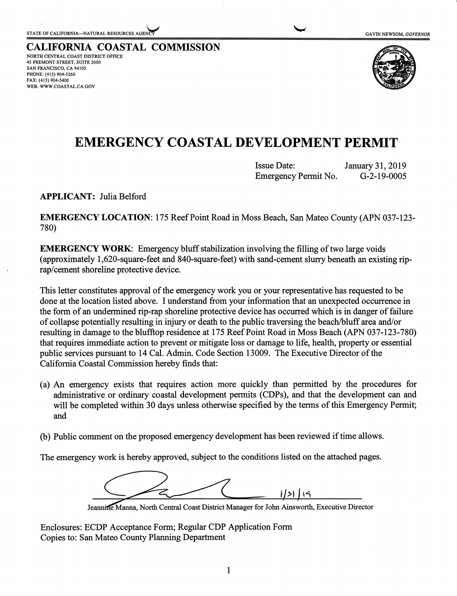**CALIFORNIA COASTAL COMMISSION** NORTH CENTRAL COAST DISTRICT OFFICE 45 FREMONT STREET, SUITE 2000 SAN FRANCISCO, CA 94105 PHONE: (415) 904-5260 FAX: (415) 904-5400 WEB: WWW.COASTAL.CA.GOV



## **EMERGENCY COASTAL DEVELOPMENT PERMIT**

| <b>Issue Date:</b>   | January 31, 2019 |
|----------------------|------------------|
| Emergency Permit No. | $G-2-19-0005$    |

**APPLICANT:** Julia Belford

**EMERGENCY LOCATION:** 175 Reef Point Road in Moss Beach, San Mateo County (APN 037-123- 780)

**EMERGENCY WORK:** Emergency bluff stabilization involving the filling of two large voids (approximately 1,620-square-feet and 840-square-feet) with sand-cement slurry beneath an existing riprap/cement shoreline protective device.

This letter constitutes approval of the emergency work you or your representative has requested to be done at the location listed above. I understand from your information that an unexpected occurrence in the form of an undermined rip-rap shoreline protective device has occurred which is in danger of failure of collapse potentially resulting in injury or death to the public traversing the beach/bluff area and/or resulting in damage to the blufftop residence at 175 Reef Point Road in Moss Beach (APN 037-123-780) that requires immediate action to prevent or mitigate loss or damage to life, health, property or essential public services pursuant to 14 Cal. Admin. Code Section 13009. The Executive Director of the California Coastal Commission hereby finds that:

- (a) An emergency exists that requires action more quickly than permitted by the procedures for administrative or ordinary coastal development permits (CDPs), and that the development can and will be completed within 30 days unless otherwise specified by the terms of this Emergency Permit; and
- (b) Public comment on the proposed emergency development has been reviewed if time allows.

The emergency work is hereby approved, subject to the conditions listed on the attached pages.

1/31 | 19

Jeannine Manna, North Central Coast District Manager for John Ainsworth, Executive Director

Enclosures: ECDP Acceptance Form; Regular CDP Application Form Copies to: San Mateo County Planning Department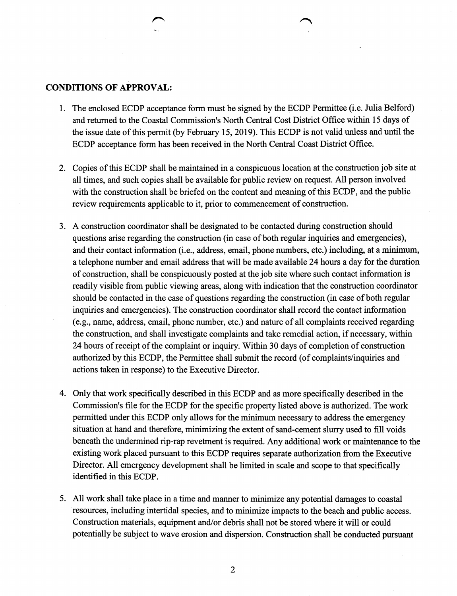## **CONDITIONS OF APPROVAL:**

- 1. The enclosed ECDP acceptance form must be signed by the ECDP Permittee (i.e. Julia Belford) and returned to the Coastal Commission's North Central Cost District Office within 15 days of the issue date of this permit (by February 15, 2019). This ECDP is not valid unless and until the ECDP acceptance form has been received in the North Central Coast District Office.
- 2. Copies of this ECDP shall be maintained in a conspicuous location at the construction job site at all times, and such copies shall be available for public review on request. All person involved with the construction shall be briefed on the content and meaning of this ECDP, and the public review requirements applicable to it, prior to commencement of construction.
- 3. A construction coordinator shall be designated to be contacted during construction should questions arise regarding the construction (in case of both regular inquiries and emergencies), and their contact information (i.e., address, email, phone numbers, etc.) including, at a minimum, a telephone number and email address that will be made available 24 hours a day for the duration of construction, shall be conspicuously posted at the job site where such contact information is readily visible from public viewing areas, along with indication that the construction coordinator should be contacted in the case of questions regarding the construction (in case of both regular inquiries and emergencies). The construction coordinator shall record the contact information (e.g., name, address, email, phone number, etc.) and nature of all complaints received regarding the construction, and shall investigate complaints and take remedial action, if necessary, within 24 hours of receipt of the complaint or inquiry. Within 30 days of completion of construction authorized by this ECDP, the Permittee shall submit the record (of complaints/inquiries and actions taken in response) to the Executive Director.
- 4. Only that work specifically described in this ECDP and as more specifically described in the Commission's file for the ECDP for the specific property listed above is authorized. The work permitted under this ECDP only allows for the minimum necessary to address the emergency situation at hand and therefore, minimizing the extent of sand-cement slurry used to fill voids beneath the undermined rip-rap revetment is required. Any additional work or maintenance to the existing work placed pursuant to this ECDP requires separate authorization from the Executive Director. All emergency development shall be limited in scale and scope to that specifically identified in this ECDP.
- 5. All work shall take place in a time and manner to minimize any potential damages to coastal resources, including intertidal species, and to minimize impacts to the beach and public access. Construction materials, equipment and/or debris shall not be stored where it will or could potentially be subject to wave erosion and dispersion. Construction shall be conducted pursuant

2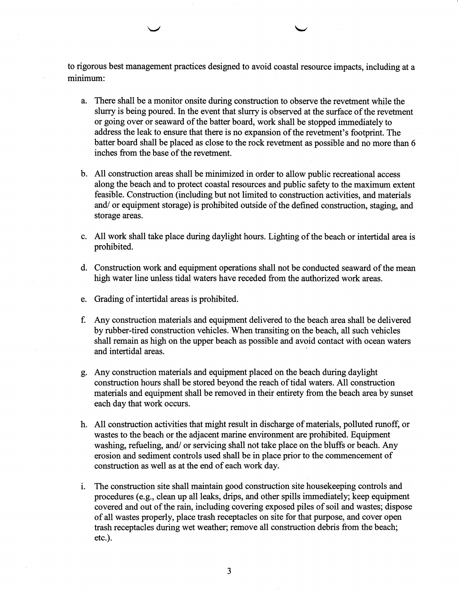to rigorous best management practices designed to avoid coastal resource impacts, including at a minimum:

- a. There shall be a monitor onsite during construction to observe the revetment while the slurry is being poured. In the event that slurry is observed at the surface of the revetment or going over or seaward of the batter board, work shall be stopped immediately to address the leak to ensure that there is no expansion of the revetment's footprint. The batter board shall be placed as close to the rock revetment as possible and no more than 6 inches from the base of the revetment.
- b. All construction areas shall be minimized in order to allow public recreational access along the beach and to protect coastal resources and public safety to the maximum extent feasible. Construction (including but not limited to construction activities, and materials and/ or equipment storage) is prohibited outside of the defined construction, staging, and storage areas.
- c. All work shall take place during daylight hours. Lighting of the beach or intertidal area is prohibited.
- d. Construction work and equipment operations shall not be conducted seaward of the mean high water line unless tidal waters have receded from the authorized work areas.
- e. Grading of intertidal areas is prohibited.
- f. Any construction materials and equipment delivered to the beach area shall be delivered by rubber-tired construction vehicles. When transiting on the beach, all such vehicles shall remain as high on the upper beach as possible and avoid contact with ocean waters and intertidal areas.
- g. Any construction materials and equipment placed on the beach during daylight construction hours shall be stored beyond the reach of tidal waters. All construction materials and equipment shall be removed in their entirety from the beach area by sunset each day that work occurs.
- h. All construction activities that might result in discharge of materials, polluted runoff, or wastes to the beach or the adjacent marine environment are prohibited. Equipment washing, refueling, and/ or servicing shall not take place on the bluffs or beach. Any erosion and sediment controls used shall be in place prior to the commencement of construction as well as at the end of each work day.
- 1. The construction site shall maintain good construction site housekeeping controls and procedures (e.g., clean up all leaks, drips, and other spills immediately; keep equipment covered and out of the rain, including covering exposed piles of soil and wastes; dispose of all wastes properly, place trash receptacles on site for that purpose, and cover open trash receptacles during wet weather; remove all construction debris from the beach; etc.).

3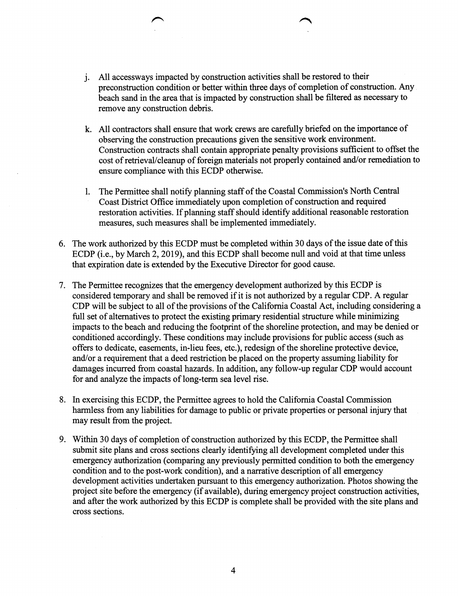- J. All accessways impacted by construction activities shall be restored to their preconstruction condition or better within three days of completion of construction. Any beach sand in the area that is impacted by construction shall be filtered as necessary to remove any construction debris.
- k. All contractors shall ensure that work crews are carefully briefed on the importance of observing the construction precautions given the sensitive work environment. Construction contracts shall contain appropriate penalty provisions sufficient to offset the cost of retrieval/cleanup of foreign materials not properly contained and/or remediation to ensure compliance with this ECDP otherwise.
- 1. The Permittee shall notify planning staff of the Coastal Commission's North Central Coast District Office immediately upon completion of construction and required restoration activities. If planning staff should identify additional reasonable restoration measures, such measures shall be implemented immediately.
- 6. The work authorized by this ECDP must be completed within 30 days of the issue date of this ECDP (i.e., by March 2, 2019), and this ECDP shall become null and void at that time unless that expiration date is extended by the Executive Director for good cause.
- 7. The Permittee recognizes that the emergency development authorized by this ECDP is considered temporary and shall be removed if it is not authorized by a regular CDP. A regular CDP will be subject to all of the provisions of the California Coastal Act, including considering a full set of alternatives to protect the existing primary residential structure while minimizing impacts to the beach and reducing the footprint of the shoreline protection, and may be denied or conditioned accordingly. These conditions may include provisions for public access (such as offers to dedicate, easements, in-lieu fees, etc.), redesign of the shoreline protective device, and/or a requirement that a deed restriction be placed on the property assuming liability for damages incurred from coastal hazards. In addition, any follow-up regular CDP would account for and analyze the impacts of long-term sea level rise.
- 8. In exercising this ECDP, the Permittee agrees to hold the California Coastal Commission harmless from any liabilities for damage to public or private properties or personal injury that may result from the project.
- 9. Within 30 days of completion of construction authorized by this ECDP, the Permittee shall submit site plans and cross sections clearly identifying all development completed under this emergency authorization (comparing any previously permitted condition to both the emergency condition and to the post-work condition), and a narrative description of all emergency development activities undertaken pursuant to this emergency authorization. Photos showing the project site before the emergency (if available), during emergency project construction activities, and after the work authorized by this ECDP is complete shall be provided with the site plans and cross sections.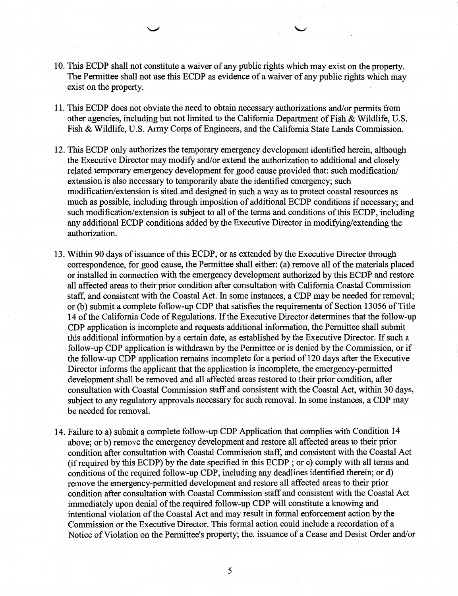- 10. This ECDP shall not constitute a waiver of any public rights which may exist on the property. The Permittee shall not use this ECDP as evidence of a waiver of any public rights which may exist on the property.
- 11. This ECDP does not obviate the need to obtain necessary authorizations and/or permits from other agencies, including but not limited to the California Department of Fish  $\&$  Wildlife, U.S. Fish & Wildlife, U.S. Army Corps of Engineers, and the California State Lands Commission.
- 12. This ECDP only authorizes the temporary emergency development identified herein, although the Executive Director may modify and/or extend the authorization to additional and closely related temporary emergency development for good cause provided that: such modification/ extension is also necessary to temporarily abate the identified emergency; such modification/extension is sited and designed in such a way as to protect coastal resources as much as possible, including through imposition of additional ECDP conditions if necessary; and such modification/extension is subject to all of the terms and conditions of this ECDP, including any additional ECDP conditions added by the Executive Director in modifying/extending the authorization.
- 13. Within 90 days of issuance of this ECDP, or as extended by the Executive Director through correspondence, for good cause, the Permittee shall either: (a) remove all of the materials placed or installed in connection with the emergency development authorized by this ECDP and restore all affected areas to their prior condition after consultation with California Coastal Commission staff, and consistent with the Coastal Act. In some instances, a CDP may be needed for removal; or (b) submit a complete follow-up CDP that satisfies the requirements of Section 13056 of Title 14 of the California Code of Regulations. If the Executive Director determines that the follow-up CDP application is incomplete and requests additional information, the Permittee shall submit this additional information by a certain date, as established by the Executive Director. If such a follow-up CDP application is withdrawn by the Permittee or is denied by the Commission, or if the follow-up CDP application remains incomplete for a period of 120 days after the Executive Director informs the applicant that the application is incomplete, the emergency-permitted development shall be removed and all affected areas restored to their prior condition, after consultation with Coastal Commission staff and consistent with the Coastal Act, within 30 days, subject to any regulatory approvals necessary for such removal. In some instances, a CDP may be needed for removal.
- 14. Failure to a) submit a complete follow-up CDP Application that complies with Condition 14 above; or b) remove the emergency development and restore all affected areas to their prior condition after consultation with Coastal Commission staff, and consistent with the Coastal Act (if required by this ECDP) by the date specified in this ECDP; or c) comply with all terms and conditions of the required follow-up CDP, including any deadlines identified therein; or d) remove the emergency-permitted development and restore all affected areas to their prior condition after consultation with Coastal Commission staff and consistent with the Coastal Act immediately upon denial of the required follow-up CDP will constitute a knowing and intentional violation of the Coastal Act and may result in formal enforcement action by the Commission or the Executive Director. This formal action could include a recordation of a Notice of Violation on the Permittee's property; the. issuance of a Cease and Desist Order and/or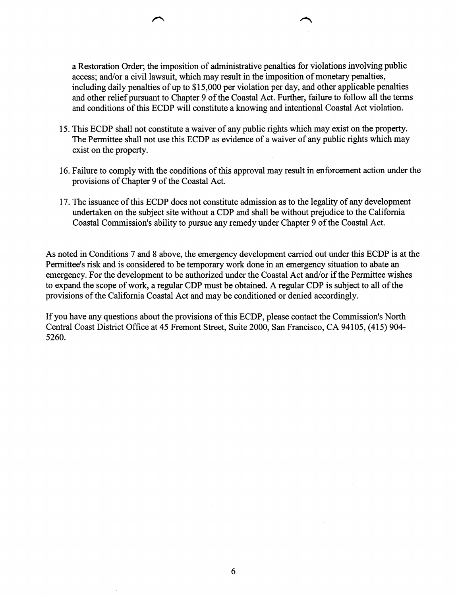a Restoration Order; the imposition of administrative penalties for violations involving public access; and/or a civil lawsuit, which may result in the imposition of monetary penalties, including daily penalties of up to \$15,000 per violation per day, and other applicable penalties and other relief pursuant to Chapter 9 of the Coastal Act. Further, failure to follow all the terms and conditions of this ECDP will constitute a knowing and intentional Coastal Act violation.

- 15. This ECDP shall not constitute a waiver of any public rights which may exist on the property. The Permittee shall not use this ECDP as evidence of a waiver of any public rights which may exist on the property.
- 16. Failure to comply with the conditions of this approval may result in enforcement action under the provisions of Chapter 9 of the Coastal Act.
- 17. The issuance of this ECDP does not constitute admission as to the legality of any development undertaken on the subject site without a CDP and shall be without prejudice to the California Coastal Commission's ability to pursue any remedy under Chapter 9 of the Coastal Act.

As noted in Conditions 7 and 8 above, the emergency development carried out under this ECDP is at the Permittee's risk and is considered to be temporary work done in an emergency situation to abate an emergency. For the development to be authorized under the Coastal Act and/or if the Permittee wishes to expand the scope of work, a regular CDP must be obtained. A regular CDP is subject to all of the provisions of the California Coastal Act and may be conditioned or denied accordingly.

If you have any questions about the provisions of this ECDP, please contact the Commission's North Central Coast District Office at 45 Fremont Street, Suite 2000, San Francisco, CA 94105, (415) 904- 5260.